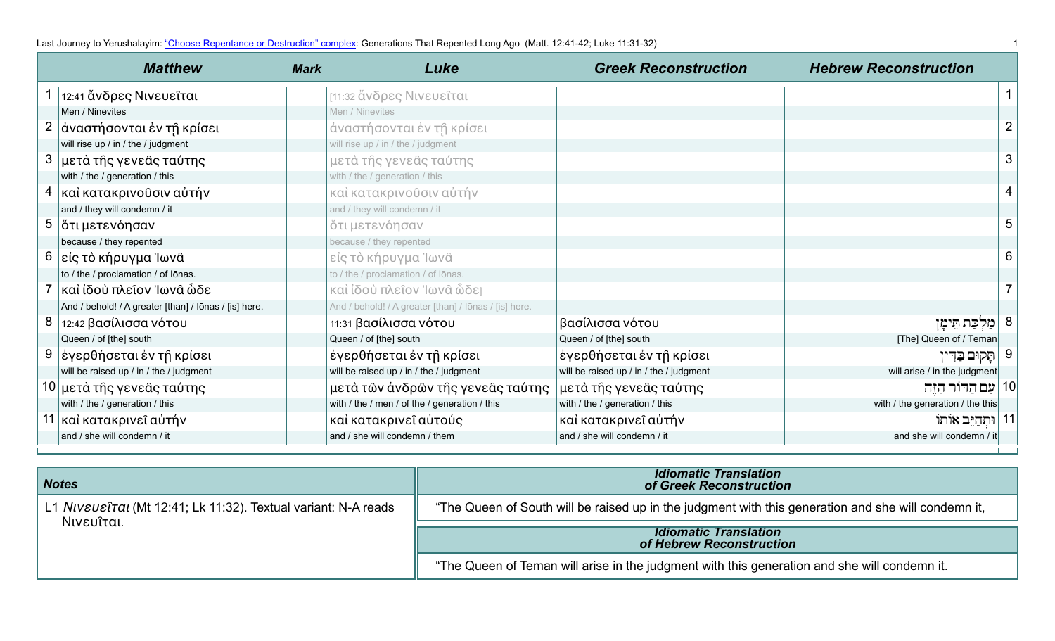Last Journey to Yerushalayim: ["Choose Repentance or Destruction" complex](https://www.jerusalemperspective.com/19657/): Generations That Repented Long Ago (Matt. 12:41-42; Luke 11:31-32) 1 2011 1

|   | <b>Matthew</b>                                        | <b>Mark</b> | Luke                                                  | <b>Greek Reconstruction</b>             | <b>Hebrew Reconstruction</b>     |                |
|---|-------------------------------------------------------|-------------|-------------------------------------------------------|-----------------------------------------|----------------------------------|----------------|
|   | 1   12:41 ἄνδρες Νινευείται                           |             | [11:32 ἄνδρες Νινευείται                              |                                         |                                  | $\mathbf 1$    |
|   | Men / Ninevites                                       |             | Men / Ninevites                                       |                                         |                                  |                |
|   | 2   άναστήσονται έν τη κρίσει                         |             | άναστήσονται έν τη κρίσει                             |                                         |                                  | $\overline{2}$ |
|   | will rise up / in / the / judgment                    |             | will rise up / in / the / judgment                    |                                         |                                  |                |
|   | 3 μετά της γενεάς ταύτης                              |             | μετά τής γενεάς ταύτης                                |                                         |                                  | 3              |
|   | with / the / generation / this                        |             | with / the / generation / this                        |                                         |                                  |                |
| 4 | καὶ κατακρινοῦσιν αὐτήν                               |             | καὶ κατακρινοῦσιν αὐτήν                               |                                         |                                  | 4              |
|   | and / they will condemn / it                          |             | and / they will condemn / it                          |                                         |                                  |                |
| 5 | ὄτι μετενόησαν                                        |             | ὄτι μετενόησαν                                        |                                         |                                  | 5              |
|   | because / they repented                               |             | because / they repented                               |                                         |                                  |                |
|   | 6   είς τὸ κήρυγμα Ἰωνᾶ                               |             | είς τὸ κήρυγμα Ἰωνᾶ                                   |                                         |                                  | 6              |
|   | to / the / proclamation / of lōnas.                   |             | to / the / proclamation / of lōnas.                   |                                         |                                  |                |
|   | καὶ ἰδοὺ πλεῖον Ἰωνᾶ ὧδε                              |             | καὶ ίδοὺ πλεῖον Ἰωνᾶ ὧδει                             |                                         |                                  | $\overline{7}$ |
|   | And / behold! / A greater [than] / lōnas / [is] here. |             | And / behold! / A greater [than] / Iōnas / [is] here. |                                         |                                  |                |
|   | 8   12:42 βασίλισσα νότου                             |             | 11:31 βασίλισσα νότου                                 | βασίλισσα νότου                         | מַלִכַּת חֵימַן                  |                |
|   | Queen / of [the] south                                |             | Queen / of [the] south                                | Queen / of [the] south                  | [The] Queen of / Tēmān           |                |
|   | 9  έγερθήσεται έν τῆ κρίσει                           |             | έγερθήσεται έν τῆ κρίσει                              | έγερθήσεται έν τῆ κρίσει                | תֲקוּם בַּדִּין                  | 9              |
|   | will be raised up / in / the / judgment               |             | will be raised up / in / the / judgment               | will be raised up / in / the / judgment | will arise / in the judgment     |                |
|   | 10 μετά τής γενεάς ταύτης                             |             | μετὰ τῶν ἀνδρῶν τῆς γενεᾶς ταύτης                     | μετά τῆς γενεᾶς ταύτης                  | 10   עִם הַדּוֹר הַזֶּה          |                |
|   | with / the / generation / this                        |             | with / the / men / of the / generation / this         | with / the / generation / this          | with / the generation / the this |                |
|   | 11 καὶ κατακρινεῖ αὐτήν                               |             | καὶ κατακρινεῖ αὐτούς                                 | καὶ κατακρινεῖ αὐτήν                    | 11   וּתְחַיֵּב אוֹתוֹ           |                |
|   | and / she will condemn / it                           |             | and / she will condemn / them                         | and / she will condemn / it             | and she will condemn / it        |                |

| <b>Notes</b>                                                   | <b>Idiomatic Translation</b><br>of Greek Reconstruction                                             |
|----------------------------------------------------------------|-----------------------------------------------------------------------------------------------------|
| L1 Niveusital (Mt 12:41; Lk 11:32). Textual variant: N-A reads | "The Queen of South will be raised up in the judgment with this generation and she will condemn it, |
| Νινευῖται.                                                     | <b>Idiomatic Translation</b><br>of Hebrew Reconstruction                                            |
|                                                                | "The Queen of Teman will arise in the judgment with this generation and she will condemn it.        |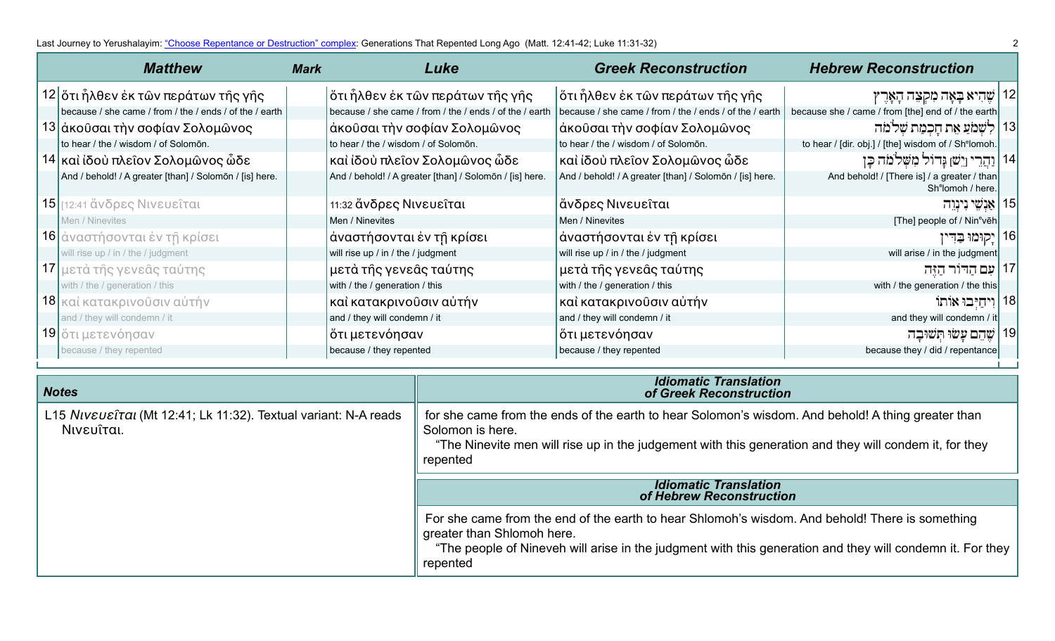| <b>Matthew</b>                                          | <b>Mark</b> | Luke                                                    | <b>Greek Reconstruction</b>                             | <b>Hebrew Reconstruction</b>                                                 |    |
|---------------------------------------------------------|-------------|---------------------------------------------------------|---------------------------------------------------------|------------------------------------------------------------------------------|----|
| 12 ότι ἦλθεν ἐκ τῶν περάτων τῆς γῆς                     |             | ὄτι ἦλθεν ἐκ τῶν περάτων τῆς γῆς                        | ὅτι ἦλθεν ἐκ τῶν περάτων τῆς γῆς                        | אָהִיא בָּאָה מִקְצֵה הָאָרֶץ $\mid$ 12                                      |    |
| because / she came / from / the / ends / of the / earth |             | because / she came / from / the / ends / of the / earth | because / she came / from / the / ends / of the / earth | because she / came / from [the] end of / the earth                           |    |
| 13 άκοῦσαι τὴν σοφίαν Σολομῶνος                         |             | άκοῦσαι τὴν σοφίαν Σολομῶνος                            | ἀκοῦσαι τὴν σοφίαν Σολομῶνος                            | 13   לִשְׁמֹעַ אֵת חָכְמַת שְׁלֹמֹה                                          |    |
| to hear / the / wisdom / of Solomon.                    |             | to hear / the / wisdom / of Solomon.                    | to hear / the / wisdom / of Solomon.                    | to hear / [dir. obj.] / [the] wisdom of / Sh <sup>e</sup> lomoh.             |    |
| 14 καὶ ἰδοὺ πλεῖον Σολομῶνος ὧδε                        |             | καὶ ἰδοὺ πλεῖον Σολομῶνος ὧδε                           | καὶ ἰδοὺ πλεῖον Σολομῶνος ὧδε                           | 14   וַהֲרֵי וְיֵשׁ] גַּרוֹל מִשָּׁלֹמֹה כַּן                                |    |
| And / behold! / A greater [than] / Solomon / [is] here. |             | And / behold! / A greater [than] / Solomon / [is] here. | And / behold! / A greater [than] / Solomon / [is] here. | And behold! / [There is] / a greater / than<br>Sh <sup>e</sup> lomoh / here. |    |
| 15 [12:41 ἄνδρες Νινευεῖται                             |             | 11:32 ἄνδρες Νινευεῖται                                 | ἄνδρες Νινευεῖται                                       | 15   אַנִשֵׁי נִינֵוְה                                                       |    |
| Men / Ninevites                                         |             | Men / Ninevites                                         | Men / Ninevites                                         | [The] people of / Nin <sup>e</sup> veh                                       |    |
| 16 αναστήσονται έν τη κρίσει                            |             | άναστήσονται έν τῆ κρίσει                               | άναστήσονται έν τῆ κρίσει                               | יָקוּמוּ בַּדִין                                                             | 16 |
| will rise up / in / the / judgment                      |             | will rise up / in / the / judgment                      | will rise up / in / the / judgment                      | will arise / in the judgment                                                 |    |
| 17 μετά τής γενεάς ταύτης                               |             | μετά τῆς γενεᾶς ταύτης                                  | μετά τῆς γενεᾶς ταύτης                                  | עִם הַדוֹר הַזֶּה                                                            |    |
| with / the / generation / this                          |             | with / the / generation / this                          | with / the / generation / this                          | with / the generation / the this                                             |    |
| 18 καὶ κατακρινοῦσιν αὐτήν                              |             | καὶ κατακρινοῦσιν αὐτήν                                 | καὶ κατακρινοῦσιν αὐτήν                                 | 18 וִיחַיִּבוּ אוֹתוֹ                                                        |    |
| and / they will condemn / it                            |             | and / they will condemn / it                            | and / they will condemn / it                            | and they will condemn / it                                                   |    |
| 19 ότι μετενόησαν                                       |             | ὄτι μετενόησαν                                          | ὄτι μετενόησαν                                          | שהם עשו תשובה                                                                |    |
| because / they repented                                 |             | because / they repented                                 | because / they repented                                 | because they / did / repentance                                              |    |

| <b>Notes</b>                                                                  | <b>Idiomatic Translation</b><br>of Greek Reconstruction                                                                                                                                                                                                |
|-------------------------------------------------------------------------------|--------------------------------------------------------------------------------------------------------------------------------------------------------------------------------------------------------------------------------------------------------|
| L15 Niveusital (Mt 12:41; Lk 11:32). Textual variant: N-A reads<br>Νινευΐται. | for she came from the ends of the earth to hear Solomon's wisdom. And behold! A thing greater than<br>Solomon is here.<br>"The Ninevite men will rise up in the judgement with this generation and they will condem it, for they<br>repented           |
|                                                                               | <b>Idiomatic Translation</b><br>of Hebrew Reconstruction                                                                                                                                                                                               |
|                                                                               | For she came from the end of the earth to hear Shlomoh's wisdom. And behold! There is something<br>greater than Shlomoh here.<br>"The people of Nineveh will arise in the judgment with this generation and they will condemn it. For they<br>repented |